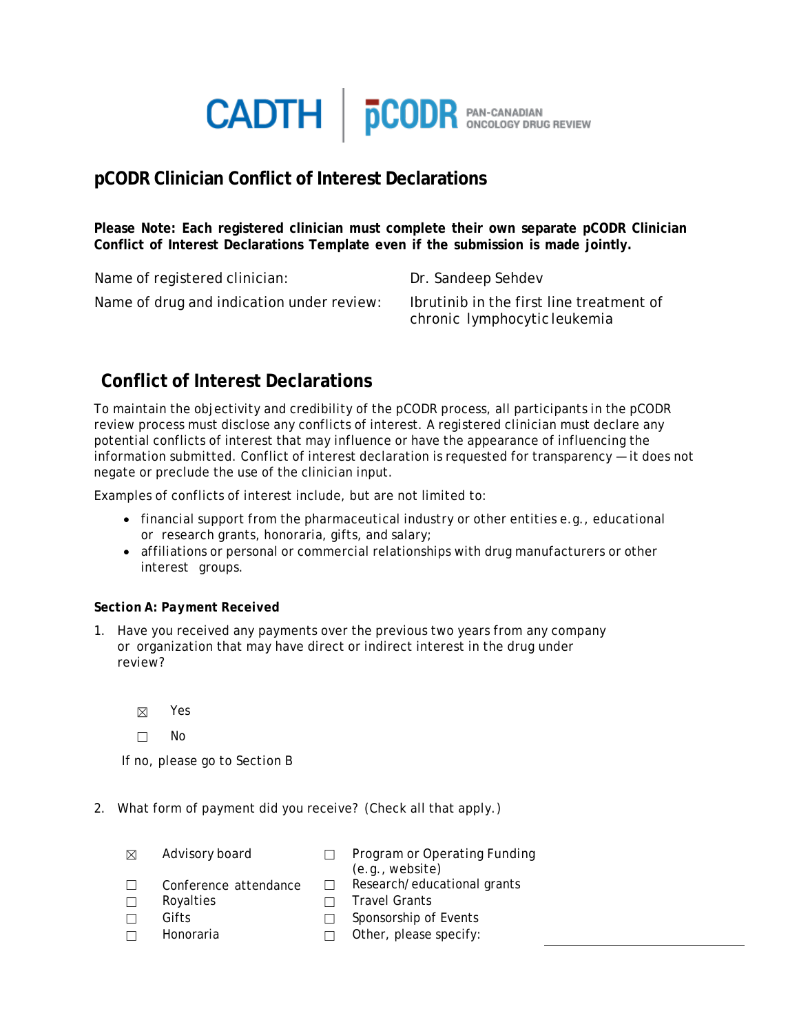

## **pCODR Clinician Conflict of Interest Declarations**

**Please Note: Each registered clinician must complete their own separate pCODR Clinician Conflict of Interest Declarations Template even if the submission is made jointly.**

Name of registered clinician: Dr. Sandeep Sehdev Name of drug and indication under review: Ibrutinib in the first line treatment of

chronic lymphocytic leukemia

# **Conflict of Interest Declarations**

To maintain the objectivity and credibility of the pCODR process, all participants in the pCODR review process must disclose any conflicts of interest. A registered clinician must declare any potential conflicts of interest that may influence or have the appearance of influencing the information submitted. Conflict of interest declaration is requested for transparency — it does not negate or preclude the use of the clinician input.

Examples of conflicts of interest include, but are not limited to:

- financial support from the pharmaceutical industry or other entities e.g., educational or research grants, honoraria, gifts, and salary;
- affiliations or personal or commercial relationships with drug manufacturers or other interest groups.

### *Section A: Payment Received*

1. Have you received any payments over the previous two years from any company or organization that may have direct or indirect interest in the drug under review?

☒ Yes

☐ No

If no, please go to Section B

- 2. What form of payment did you receive? (Check all that apply.)
	- ☒ Advisory board ☐ Program or Operating Funding (e.g., website) ☐ Conference attendance ☐ Research/educational grants ☐ Royalties ☐ Travel Grants ☐ Gifts ☐ Sponsorship of Events ☐ Honoraria ☐ Other, please specify: